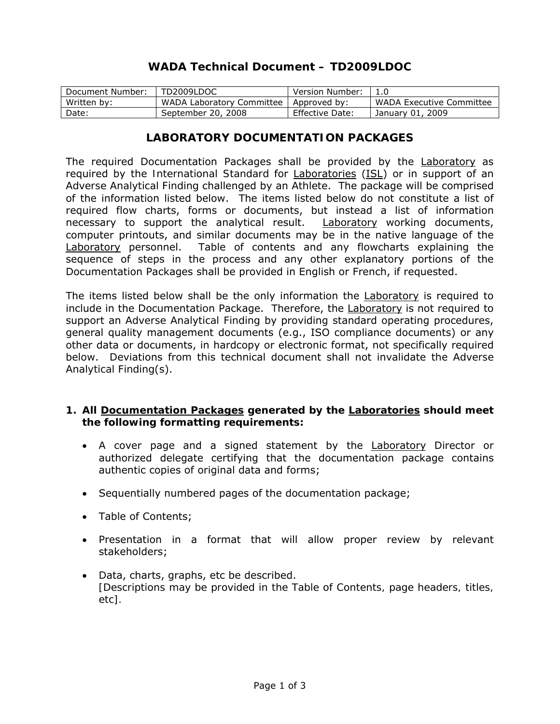# **WADA Technical Document – TD2009LDOC**

| Document Number: | TD2009LDOC                | Version Number:        |                          |
|------------------|---------------------------|------------------------|--------------------------|
| Written by:      | WADA Laboratory Committee | Approved by:           | WADA Executive Committee |
| Date:            | September 20, 2008        | <b>Effective Date:</b> | January 01, 2009         |

### **LABORATORY DOCUMENTATION PACKAGES**

The required Documentation Packages shall be provided by the Laboratory as required by the *International Standard* for Laboratories (ISL) or in support of an *Adverse Analytical Finding* challenged by an *Athlete*. The package will be comprised of the information listed below. The items listed below do not constitute a list of required flow charts, forms or documents, but instead a list of information necessary to support the analytical result. Laboratory working documents, computer printouts, and similar documents may be in the native language of the Laboratory personnel. Table of contents and any flowcharts explaining the sequence of steps in the process and any other explanatory portions of the Documentation Packages shall be provided in English or French, if requested.

The items listed below shall be the only information the Laboratory is required to include in the Documentation Package. Therefore, the Laboratory is not required to support an *Adverse Analytical Finding* by providing standard operating procedures, general quality management documents (e.g., ISO compliance documents) or any other data or documents, in hardcopy or electronic format, not specifically required below. Deviations from this technical document shall not invalidate the *Adverse Analytical Finding*(s).

#### **1. All Documentation Packages generated by the Laboratories should meet the following formatting requirements:**

- A cover page and a signed statement by the Laboratory Director or authorized delegate certifying that the documentation package contains authentic copies of original data and forms;
- Sequentially numbered pages of the documentation package;
- Table of Contents;
- Presentation in a format that will allow proper review by relevant stakeholders;
- Data, charts, graphs, etc be described. *[Descriptions may be provided in the Table of Contents, page headers, titles, etc].*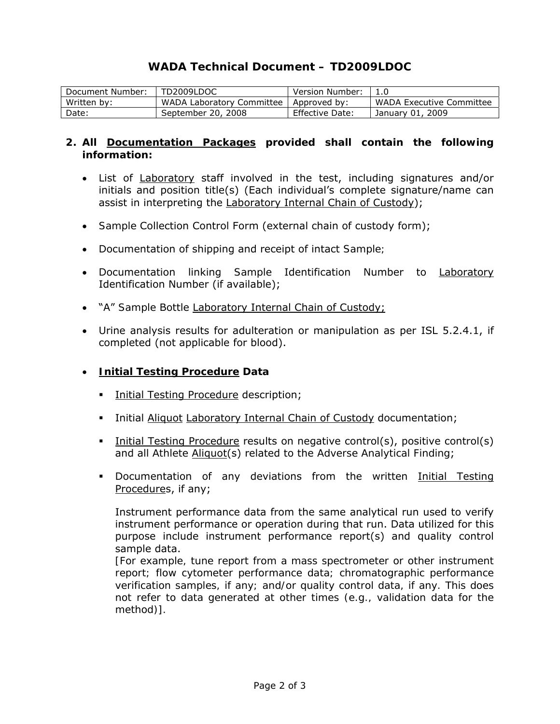# **WADA Technical Document – TD2009LDOC**

| Document Number: | TD2009LDOC                | Version Number: |                                 |
|------------------|---------------------------|-----------------|---------------------------------|
| Written by:      | WADA Laboratory Committee | Approved by:    | <b>WADA Executive Committee</b> |
| Date:            | September 20, 2008        | Effective Date: | January 01, 2009                |

### **2. All Documentation Packages provided shall contain the following information:**

- List of Laboratory staff involved in the test, including signatures and/or initials and position title(s) (Each individual's complete signature/name can assist in interpreting the Laboratory Internal Chain of Custody);
- *Sample* Collection Control Form (external chain of custody form);
- Documentation of shipping and receipt of intact *Sample;*
- Documentation linking *Sample* Identification Number to Laboratory Identification Number (if available);
- "A" *Sample* Bottle Laboratory Internal Chain of Custody;
- Urine analysis results for adulteration or manipulation as per ISL 5.2.4.1, if completed (not applicable for blood).
- **Initial Testing Procedure Data** 
	- **Initial Testing Procedure description;**
	- **Initial Aliquot Laboratory Internal Chain of Custody documentation;**
	- Initial Testing Procedure results on negative control(s), positive control(s) and all *Athlete* Aliquot(s) related to the *Adverse Analytical Finding*;
	- Documentation of any deviations from the written Initial Testing Procedures, if any;

Instrument performance data from the same analytical run used to verify instrument performance or operation during that run. Data utilized for this purpose include instrument performance report(s) and quality control sample data.

*[For example, tune report from a mass spectrometer or other instrument report; flow cytometer performance data; chromatographic performance verification samples, if any; and/or quality control data, if any. This does not refer to data generated at other times (e.g., validation data for the method)].*